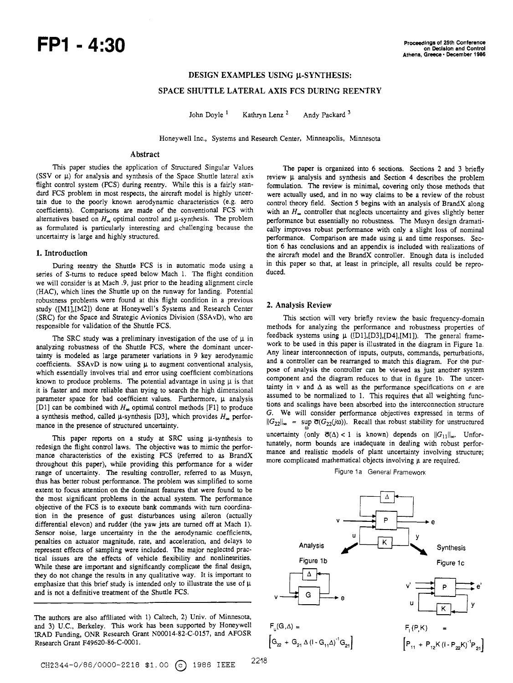# **DESIGN EXAMPLES USING U-SYNTHESIS:**

# **SPACE SHUTTLE LATERAL AXIS FCS DURING REENTRY**

John Doyle<sup>1</sup> Kathryn Lenz<sup>2</sup> Andy Packard<sup>3</sup>

Honeywell Inc., Systems and Research Center, Minneapolis, Minnesota

# **Abstract**

**This** paper studies the application of Structured Singular Values (SSV or  $\mu$ ) for analysis and synthesis of the Space Shuttle lateral axis flight control system (FCS) during reentry. While **this** is a fairly standard FCS problem in most respects, the aircraft model is highly uncertain due to the poorly known aerodynamic characteristics (e.g. aero coefficients). Comparisons **are** made of **the** conventional FCS with alternatives based on  $H_{\infty}$  optimal control and  $\mu$ -synthesis. The problem as formulated is particularly interesting and challenging because the uncertainty is large and highly structured.

#### **1. Introduction**

During **reentry** the Shuttle FCS is in automatic mode using a **series** of S-turns to reduce speed below Mach 1. The flight condition we will consider is at Mach .9, just prior to the heading alignment circle (HAC), which lines the Shuttle up on the runway for landing. Potential robustness problems were found at **this** flight condition in a previous study ([Ml],[M2]) done at Honeywell's Systems and Research Center (SRC) for the Space and Strategic Avionics Division (SSAvD), who are responsible for validation of the Shuttle FCS.

The SRC study was a preliminary investigation of the use of  $\mu$  in analyzing robusmess of the Shuttle FCS, where the dominant uncertainty is modeled **as** large parameter variations in 9 key aerodynamic coefficients. SSAvD is now using  $\mu$  to augment conventional analysis, which essentially involves trial and error using coefficient combinations known to produce problems. The potential advantage in using  $\mu$  is that it is faster and more reliable than uying to search the high dimensional parameter space for bad coefficient values. Furthermore, **p** analysis [D1] can be combined with  $H_{\infty}$  optimal control methods [F1] to produce a synthesis method, called  $\mu$ -synthesis [D3], which provides  $H_{\infty}$  performance in **the** presence of structured uncertainty.

This paper reports on a study at SRC using  $\mu$ -synthesis to redesign the flight control laws. **The** objective was to mimic the performance characteristics of the existing FCS (referred to **as** BrandX throughout **this** paper), while providing **this** performance for a wider range of uncertainty. **The** resulting controller, referred to **as** Musyn, thus has better robust performance. **The** problem was simplified to some extent to focus attention on the dominant features that were found to be the most significant problems in the actual system. **The** performance objective of the FCS is to execute bank commands with turn coordination in the presence of gust disturbances using aileron (actually differential elevon) and rudder (the yaw **jets are** turned off at Mach 1). **Sensor** noise, large uncertainty in the the aerodynamic coefficients, penalties on actuator magnitude, rate, and acceleration, and delays to represent effects of sampling were included. **The** major neglected practical issues **are** the ffects of vehicle flexibility and nonlinearities. While these **are** important and significantly complicate the final design, they do not change **the** results in any qualitative way. It is important to emphasize that **this** brief study is intended only to illustrate **the** use of **p**  and is not a definitive treatment of the Shuttle FCS.

**The** authors are also affiliated with 1) Caltech, 2) Univ. of Minnesota, and 3) U.C., Berkeley. **This** work has been supported by Honeywell IRAD Funding, ONR Research Grant N00014-82-C-0157, and AFOSR Research Grant F49620-86-C-0001.

**The** paper **is** organized into 6 sections. Sections 2 and **3** briefly review **p** analysis and synthesis and Section 4 describes the problem formulation. The review is minimal, covering only those methods that were actually used, and in no way claims to be a review of **the** robust control theory field. Section **5** begins with an analysis of BrandX along with an  $H_{\infty}$  controller that neglects uncertainty and gives slightly better performance but essentially no robustness. The Musyn design dramatically improves robust performance with only a slight loss of nominal performance. Comparison are made using  $\mu$  and time responses. Sec**tion** 6 has conclusions and an appendix is included with realizations of the aircraft **model** and the BrandX controller. **Enough** data is included in **this** paper so that, at least in principle, all results could be reproduced.

## **2. Analysis Review**

This section will very briefly review the basic frequency-domain methods for analyzing the performance and robustness properties of feedback systems using **p** ([Dll,[D31,[D4],[Ml]). **The** general framework to be used in **this** paper is illustrated in the diagram in Figure la. Any linear interconnection of inputs, **outputs,** commands, perturbations, and a controller can be rearranged to match this diagram. For the purpose of analysis the controller can **be** viewed as just another system component and the diagram reduces to that in figure lb. **The** uncertainty in  $v$  and  $\Delta$  as well as the performance specifications on *e* are assumed to be normalized to 1. **This** requires that all weighting functions and scalings have been absorbed into the interconnection structure G. We will consider performance objectives expressed in terms of  $||G_{22}||_{\infty}$  = sup  $\sigma(G_{22}(j\omega))$ . Recall that robust stability for unstructure uncertainty (only  $\bar{\sigma}(\Delta) < 1$  is known) depends on  $||G_{11}||_{\infty}$ . Unfortunately, norm bounds are inadequate in dealing with robust performance and realistic models of plant uncertainty involving structure; more complicated mathematical objects involving  $\mu$  are required.

Figure 1a General Framework

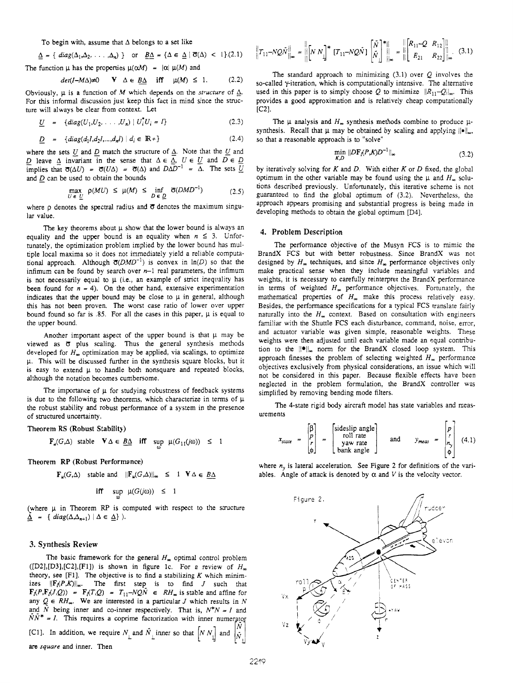To begin with, assume that  $\Delta$  belongs to a set like

$$
\underline{\Delta} = \{ \text{ diag}(\Delta_1, \Delta_2, \ldots, \Delta_n) \} \quad \text{or} \quad \underline{B\Delta} = \{ \Delta \in \underline{\Delta} \mid \overline{\sigma}(\Delta) < 1 \} \tag{2.1}
$$

The function 
$$
\mu
$$
 has the properties  $\mu(\alpha M) = |\alpha| \mu(M)$  and  
\n $det(I - M\Delta) \neq 0$  **V**  $\Delta \in \underline{B\Delta}$  iff  $\mu(M) \leq 1$ . (2.2)

Obviously,  $\mu$  is a function of *M* which depends on the *structure* of  $\Delta$ . For this informal discussion just keep this fact in mind since the structure will always be clear from context. Let

$$
\underline{U} = \{diag(U_1, U_2, \dots, U_n) | U_i^* U_i = I\}
$$
 (2.3)

$$
\underline{D} = \{diag(d_1I, d_2I, ..., d_nI) | d_i \in \mathbb{R}^+\}
$$
 (2.4)

where the sets  $\underline{U}$  and  $\underline{D}$  match the structure of  $\underline{\Delta}$ . Note that the  $\underline{U}$  and *D* leave  $\triangle$  invariant in the sense that  $\triangle \in \overline{\triangle}$ ,  $U \in U$  and  $D \in D$ implies that  $\overline{\sigma}(\Delta U) = \overline{\sigma}(U\Delta) = \overline{\sigma}(\Delta)$  and  $D\overline{\Delta}D^{-1} = \overline{\Delta}$ . The sets  $\overline{U}$ 

and 
$$
\underline{D}
$$
 can be used to obtain the bounds  
\n
$$
\max_{U \in \underline{U}} \rho(MU) \le \mu(M) \le \inf_{D \in \underline{D}} \overline{\sigma}(DMD^{-1})
$$
\n(2.5)

where  $\rho$  denotes the spectral radius and  $\sigma$  denotes the maximum singular value.

The key theorems about  $\mu$  show that the lower bound is always an equality and the upper bound is an equality when  $n \leq 3$ . Unfortunately, **the** optimization problem implied by the lower bound has multiple local maxima so it does not immediately yield a reliable computational approach. Although  $\sigma(DMD^{-1})$  is convex in  $\ln(D)$  so that the infimum can be found by search over **n-1** real parameters, the infimum is not necessarily equal to  $\mu$  (i.e., an example of strict inequality has **been found for**  $n = 4$ **). On the other hand, extensive experimentation** indicates that the upper bound may **be** close to **p** in general, although **this** has not been proven. The worst case ratio of lower over upper bound found so far is *.85.* For all the cases in this paper, **p** is equal to the upper bound.

Another important aspect of the upper bound is that  $\mu$  may be viewed as  $\overline{\sigma}$  plus scaling. Thus the general synthesis methods developed for  $H_{\infty}$  optimization may be applied, via scalings, to optimize **p. This** will be discussed further in the synthesis square blocks, but it is easy to extend  $\mu$  to handle both nonsquare and repeated blocks, although **the** notation becomes cumbersome.

The importance of  $\mu$  for studying robustness of feedback systems is due to the following two theorems, which characterize in terms of  $\mu$ the robust stability and robust performance of a system in the presence of suuctured uncertainty.

**Theorem RS (Robust Stability)** 

$$
\mathbf{F}_{\mu}(G,\Delta) \quad \text{stable} \quad \mathbf{V} \Delta \in \underline{B\Delta} \quad \text{iff} \quad \sup_{\omega} \mu(G_{11}(j\omega)) \leq 1
$$

**Theorem RP (Robust Performance)** 

$$
\mathbf{F}_{\mu}(G,\Delta)
$$
 stable and  $||\mathbf{F}_{\mu}(G,\Delta)||_{\infty} \leq 1 \quad \forall \Delta \in \underline{B\Delta}$ 

$$
\text{if } \sup_{\omega} \mu(G(j\omega)) \leq 1
$$

(where  $\mu$  in Theorem RP is computed with respect to the structure  $\underline{\Delta}$  = {  $diag(\Delta,\Delta_{n+1})$  |  $\Delta \in \underline{\Delta}$ } ).

### **3. Synthesis Review**

The basic framework for the general  $H_{\infty}$  optimal control problem  $([D2],[D3],[C2],[F1])$  is shown in figure 1c. For a review of  $H_{\infty}$ izes  $\|F_I(P,K)\|_{\infty}$ . The first step is to find *J* such that  $F_{\Lambda}(P, F_{\Lambda}(J, Q)) = F_{\Lambda}(T, Q) = T_{11} - NQN \in RH_{\infty}$  is stable and affine for any  $Q \in RH_{\infty}$ . We are interested in a particular *J* which results in *N* and  $\bar{N}$  being inner and co-inner respectively. That is,  $N^*N = I$  and theory, see [F1]. The objective is to find a stabilizing  $K$  which minim- $N\bar{N}^* = I$ . This requires a coprime factorization with inner numerator [C1]. In addition, we require  $N_{\perp}$  and  $\overline{N}_{\perp}$  inner so that  $\left[N N_{\perp}\right]$  and **are** *square* and inner. Then

$$
\left\|T_{11}-NQ\tilde{N}\right\|_{\infty} = \left\| \left[N N_{\perp} \right]^* \left[T_{11}-NQ\tilde{N}\right] \left[\tilde{N} \right]^* \right\|_{\infty} = \left\| \left[R_{11}-Q \ R_{12} \right] \right\|_{\infty} . \tag{3.1}
$$

The standard approach **to** minimizing **(3.1)** over **Q** involves the so-called y-iteration, which is computationally intensive. The alternative used in this paper is to simply choose Q to minimize  $||R_{11}-Q||_{\infty}$ . This provides a good approximation and is relatively cheap computationally **[C21.** 

The  $\mu$  analysis and  $H_{\infty}$  synthesis methods combine to produce  $\mu$ synthesis. Recall that  $\mu$  may be obtained by scaling and applying  $\|\cdot\|_{\infty}$ , so that a reasonable approach is to "solve"

$$
\min_{\nu, D} \|D\mathbf{F}_l(P,\mathcal{K})D^{-1}\|_{\infty} \tag{3.2}
$$

by iteratively solving for *K* and **D.** With either *K* or **D** fixed, the global optimum in the other variable may be found using the  $\mu$  and  $H_{\infty}$  solutions described previously. Unfortunately, **this** iterative scheme **is** not guaranteed to find the global optimum of **(3.2).** Nevertheless, the approach appears promising and substantial progress is being made in developing methods to obtain the global optimum **[D4].** 

#### **4. Problem Description**

The performance objective of the Musyn FCS **is** to mimic the BrandX FCS but with better robustness. Since BrandX was not designed by  $H_{\infty}$  techniques, and since  $H_{\infty}$  performance objectives only make practical sense when they include meaningful variables and weights, it is necessary to carefully reinterpret the BrandX performance in terms of weighted  $H_{\infty}$  performance objectives. Fortunately, the mathematical properties of  $H_{\infty}$  make this process relatively easy. Besides, the performance specifications for a typical FCS translate fairly naturally into the  $H_{\infty}$  context. Based on consultation with engineers familiar with the Shuttle **FCS** each disturbance, command, noise, error, and actuator variable was given simple, reasonable weights. These weights were then adjusted until each variable made an equal contribution to the  $\|\bullet\|_{\infty}$  norm for the BrandX closed loop system. This approach finesses the problem of selecting weighted  $H<sub>\infty</sub>$  performance objectives exclusively from physical considerations, an issue which will not be considered in **this** paper. Because flexible effects have been neglected in the problem formulation, the BrandX controller was simplified by removing bending mode filters.

The 4-state rigid body aircraft model has state variables and measurements

$$
x_{state} = \begin{bmatrix} \beta \\ p \\ r \\ \phi \end{bmatrix} = \begin{bmatrix} \text{sideslip angle} \\ \text{roll rate} \\ \text{yaw rate} \\ \text{bank angle} \end{bmatrix} \quad \text{and} \quad y_{meas} = \begin{bmatrix} p \\ r \\ n_y \\ \phi \end{bmatrix} \quad (4.1)
$$

where  $n_y$  is lateral acceleration. See Figure 2 for definitions of the variables. Angle of attack is denoted by  $\alpha$  and  $V$  is the velocity vector.

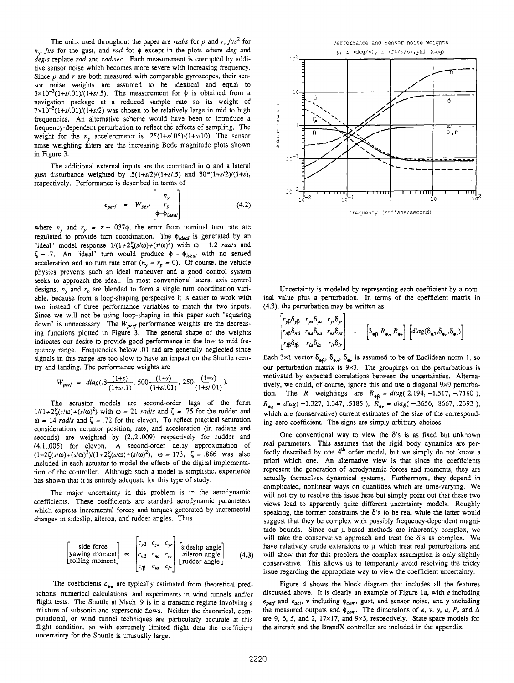The units used throughout the paper are *rad/s* for *p* and *r*,  $ft/s^2$  for **ny,** *fils* for the gust, and *rad* for *Q* except in the plots where *deg* and *degis* replace *rad* and *radlsec.* Each measurement is corrupted by additive sensor noise which becomes more severe with increasing frequency. Since *p* and *r* **are** both **measured** with comparable gyroscopes, their sensor noise weights **are** assumed to be identical and equal to  $3 \times 10^{-3} (1 + s/0.01)/(1 + s/0.5)$ . The measurement for  $\phi$  is obtained from a navigation package at a reduced sample rate so its weight of  $7 \times 10^{-3} (1 + s/0.01)/(1 + s/2)$  was chosen to be relatively large in mid to high frequencies. An alternative scheme would have been to introduce a frequency-dependent perturbation to reflect the effects of sampling. The weight for the  $n_v$  accelerometer is  $.25(1+s/0.05)/(1+s/10)$ . The sensor noise weighting filters are the increasing Bode magnitude plots shown in Figure **3.** 

**The** additional external inputs are the command in *Q* and a lateral gust disturbance weighted by  $.5(1+s/2)/(1+s/5)$  and  $30*(1+s/2)/(1+s)$ , respectively. Performance is described in terms of

$$
e_{\text{perf}} = W_{\text{perf}} \begin{bmatrix} n_{y} \\ r_{p} \\ \phi - \psi_{\text{ideal}} \end{bmatrix}
$$
 (4.2)

where  $n_y$  and  $r_p = r - .037\phi$ , the error from nominal turn rate are regulated to provide turn coordination. The  $\phi_{ideal}$  is generated by an "ideal" model response  $1/(1+2\zeta(s/\omega)+(s/\omega)^2)$  with  $\omega = 1.2$  *rad/s* and  $\zeta$  = .7. An "ideal" turn would produce  $\phi$  =  $\phi_{ideal}$  with no sensed acceleration and no turn rate error  $(n_y = r_p = 0)$ . Of course, the vehicle physics prevents such an ideal maneuver and a good control system seeks to approach the ideal. In most conventional lateral axis control designs,  $n_y$  and  $r_p$  are blended to form a single turn coordination variable, because from a loop-shaping perspective it is easier to work with two instead of **three** performance variables to match the two inputs. Since we will not be using loop-shaping in **this** paper such "squaring down" is unnecessary. The  $W_{\text{perf}}$  performance weights are the decreasing functions plotted in Figure **3.** The general shape of **the** weights indicates our desire to provide good performance in the low to mid frequency range. Frequencies below **.01** rad are generally neglected since signals in this range are too slow to have an impact on the Shuttle reen**try** and landing. **The** performance weights are

$$
W_{\text{perf}} = \text{diag}(0.8 \frac{(1+s)}{(1+s/1)}, 500 \frac{(1+s)}{(1+s/0.01)}, 250 \frac{(1+s)}{(1+s/0.01)}).
$$

**The** actuator models are second-order lags of the form  $1/(1+2\zeta(s/\omega)+(s/\omega)^2)$  with  $\omega = 21$  *rad/s* and  $\zeta = .75$  for the rudder and  $\omega$  = 14 *rad/s* and  $\zeta$  = .72 for the elevon. To reflect practical saturation considerations actuator position, rate, and acceleration (in radians and seconds) are weighted by **(2,.2,.009)** respectively for rudder and **(4,1,.005)** for elevon. A second-order delay approximation of included in each actuator to model the effects of the digital implementation of the controller. Although such a model is simplistic, experience has shown that it is entirely adequate for this type of study.  $(1-2\zeta(s/\omega)+(s/\omega)^2)/(1+2\zeta(s/\omega)+(s/\omega)^2)$ ,  $\omega = 173$ ,  $\zeta = .866$  was also

The major uncertainty in this problem is in the aerodynamic coefficients. These coefficients are standard aerodynamic parameters which express incremental forces and torques generated by incremental changes in sideslip, aileron, and rudder angles. Thus

$$
\begin{bmatrix}\n\text{side force} \\
\text{yawing moment} \\
\text{rolling moment}\n\end{bmatrix}\n\approx\n\begin{bmatrix}\nc_{y\beta} & c_{ya} & c_{yr} \\
c_{n\beta} & c_{na} & c_{nr} \\
c_{l\beta} & c_{la} & c_{lr}\n\end{bmatrix}\n\begin{bmatrix}\n\text{sideslip angle} \\
\text{aileron angle} \\
\text{ruder angle}\n\end{bmatrix}\n\tag{4.3}
$$

The coefficients  $c_{\bullet\bullet}$  are typically estimated from theoretical predictions, numerical calculations, and experiments in wind tunnels and/or flight tests. **The** Shuttle at Mach .9 is in a transonic regime involving a mixture of subsonic and supersonic flows. Neither the theoretical, computational, or wind tunnel techniques are particularly accurate at **this**  flight condition, *so* with extremely limited flight data the coefficient uncertainty for the Shuttle is unusually large.



Uncertainty **is** modeled by representing each coefficient by a nominal value plus a perturbation. In terms of the coefficient matrix in **(4.3),** the perturbation may **be** written as

$$
\begin{vmatrix} r_{\gamma\beta}\delta_{\gamma\beta} & r_{\gamma\alpha}\delta_{\gamma\alpha} & r_{\gamma\gamma}\delta_{\gamma\gamma} \\ r_{\alpha\beta}\delta_{\alpha\beta} & r_{\alpha\alpha}\delta_{\alpha\alpha} & r_{\alpha\gamma}\delta_{\alpha\gamma} \end{vmatrix} = \begin{bmatrix} 3_{\bullet\beta} & R_{\bullet\alpha} & R_{\bullet\gamma} \end{bmatrix} \begin{bmatrix} diag(\delta_{\bullet\beta}, \delta_{\bullet\alpha}, \delta_{\bullet\gamma}) \\ -ig\delta_{\beta} & r_{\alpha}\delta_{\alpha\gamma} & \end{bmatrix}
$$

Each  $3\times1$  vector  $\delta_{\bullet}$ ,  $\delta_{\bullet}$ ,  $\delta_{\bullet}$  is assumed to be of Euclidean norm 1, so our perturbation matrix is 9×3. The groupings on the perturbations is motivated by expected correlations between **the** uncertainties. Alternatively, we could, of course, ignore **this** and use a diagonal **9x9** permrbation. The *R* weightings are  $R_{\text{eB}} = \text{diag}(2.194, -1.517, -0.7180)$ , *R*<sub>9*a*</sub> = *diag*(-1.327, 1.347, .5185),  $R_{\text{e}_{\text{r}}}$  = *diag*(-.3656, .8667, .2393), which are (conservative) current estimates of the size of the corresponding aero coefficient. **The** signs are simply arbitrary choices.

One conventional way to view the  $\delta$ 's is as fixed but unknown real parameters. **This** assumes that the rigid body dynamics are perfectly described by one 4<sup>th</sup> order model, but we simply do not know a priori which one. An alternative view is that since the coefficients represent the generation of aerodynamic forces and moments, they are actually themselves dynamical systems. Funhermore, they depend in complicated, nonlinear ways on quantities which are time-varying. We will not **try** to resolve **this** issue here but simply point out that these two views lead to apparently quite different uncertainty models. Roughly speaking, the former constrains the  $\delta$ 's to be real while the latter would suggest that they be complex with possibly frequency-dependent magnitude bounds. Since our  $\mu$ -based methods are inherently complex, we will **take** the conservative approach and treat the **6's** as complex. We have relatively crude extensions to  $\mu$  which treat real perturbations and will show that for **this** problem the complex assumption is only slightly conservative. **This** allows **us** to temporarily avoid resolving the tricky issue regarding the appropriate way to view the coefficient uncertainty.

Figure **4** shows the block diagram that includes all the features discussed above. It is clearly an example of Figure **la,** with **e** including  $e_{perf}$  and  $e_{act}$ , *v* including  $\phi_{com}$ , gust, and sensor noise, and *y* including the measured outputs and  $\phi_{com}$ . The dimensions of *e*, *v*, *y*, *u*, *P*, and  $\Delta$ *are* **9, 6,** *5,* and **2, 17x17,** and **9x3,** respectively. State space models for the aircraft and the BrandX controller *are* included in the appendix.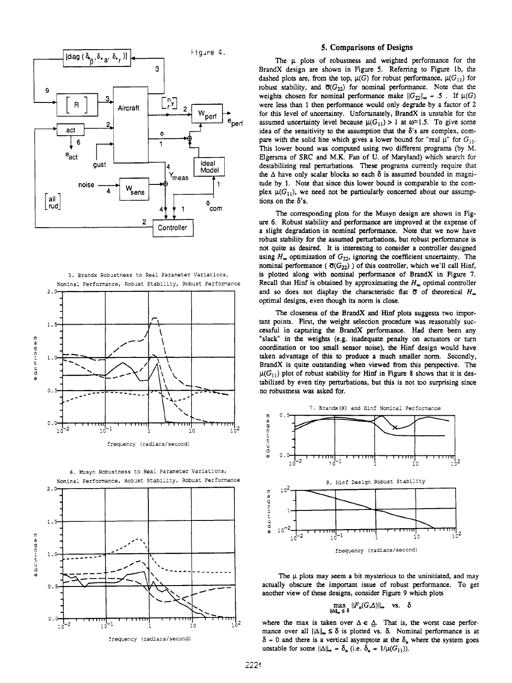





#### **5. Comparisons of Designs**

The  $\mu$  plots of robustness and weighted performance for the BrandX design **are** shown in Figure *5.* Refemng to Figure lb, the dashed plots are, from the top,  $\mu(G)$  for robust performance,  $\mu(G_{11})$  for robust stability, and  $\overline{\sigma}(G_{22})$  for nominal performance. Note that the weights chosen for nominal performance make  $||G_{22}||_{\infty} = .5$ . If  $\mu(G)$ were less than 1 then performance would only degrade by a factor of **2**  for **this** level of uncertainty. Unfortunately, BrandX is unstable for the assumed uncertainty level because  $\mu(G_{11}) > 1$  at  $\omega \approx 1.5$ . To give some idea of the sensitivity to the assumption that the **6's are** complex, compare with the solid line which gives a lower bound for "real  $\mu$ " for  $G_{11}$ . **This** lower bound was computed using two different programs (by M. Elgersma of SRC and **M.K.** Fan of U. of Maryland) which search for destabilizing real perturbations. These programs currently require that the  $\Delta$  have only scalar blocks so each  $\delta$  is assumed bounded in magnitude by 1. Note that since **this** lower bound is comparable to the complex  $\mu(G_{11})$ , we need not be particularly concerned about our assump**tions** on the **6's.** 

The corresponding plots for **the** Musyn design **are** shown in Fig**ure** 6. Robust stability and performance **are** improved at the expense of w a slieht degradation in nominal performance. **Note** that we now have robust stability for the assumed perturbations, but robust performance is not quite as desired. It is interesting to consider a controller designed using  $H_{\infty}$  optimization of  $G_{22}$ , ignoring the coefficient uncertainty. The nominal performance ( $\overline{\sigma}(G_{22})$ ) of this controller, which we'll call Hinf, *5.* Brandx Robustness to Real Parameter Variacions, **is** plotted along with nominal performance of BrandX in Figure **7.**  Nominal Performance, Robust Stability, Robust Perfonance Recall that Hinf is obtained by approximating the *H,* optimal controller and so does not display the characteristic flat  $\overline{\sigma}$  of theoretical *H*<sub>m</sub> optimal designs, even **though** its norm is close.

> The closeness of the BrandX and Hinf plots suggests two important points. First, the weight selection procedure **was** reasonably successful in capturing the BrandX performance. Had there been any "slack" in the weights (e.g. inadequate penalty on actuators or turn coordination or **too** small sensor noise), the **Hinf** design would have taken advantage of **this** to produce a much smaller norm. Secondly, BrandX is quite outstanding when viewed from **this** perspective. The  $\mu(G_{11})$  plot of robust stability for **Hinf** in Figure 8 shows that it is destabilized by even tiny perturbations, but **this** is not too surprising since no robusmess was asked for.



The  $\mu$  plots may seem a bit mysterious to the uninitiated, and may  $\overline{O}$ .  $\overline{O}$  actually obscure the important issue of robust performance. To get another view of these designs, consider Figure 9 which plots

$$
\max_{\|\Delta\|_{\infty} \leq \delta} ||F_u(G,\Delta)||_{\infty} \quad \text{vs.} \quad \delta
$$

 $\frac{1}{2}$  **1. 1. 1. 1. 1. 1. 1. 1. 1. 2. 2.** where the max is taken over  $\Delta \in \Delta$ . That is, the worst case performance over all  $\|\Delta\|_{\infty} \le \delta$  is plotted vs.  $\delta$ . Nominal performance is at frequency (radians/second)  $\delta = 0$  and there is a vertical asymptote at the  $\delta_u$  where the system goes unstable for some  $\|\Delta\|_{\infty} = \delta_{\mu}$  (i.e.  $\delta_{\mu} = 1/\mu(G_{11})$ ).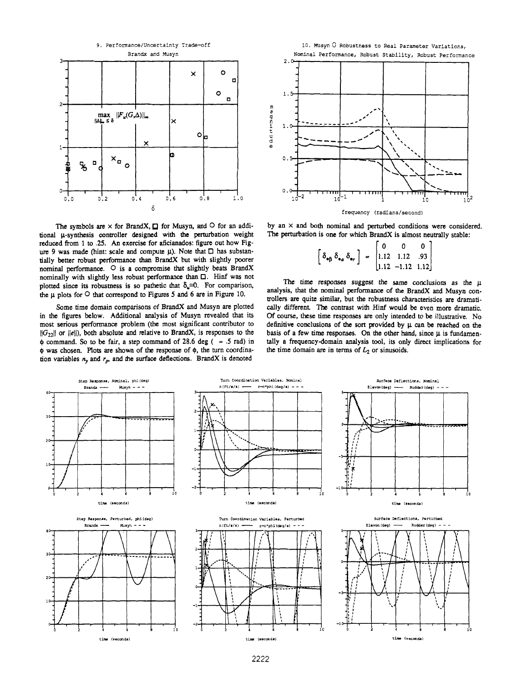

The symbols are  $\times$  for BrandX,  $\Box$  for Musyn, and  $\circ$  for an additional u-synthesis controller designed with the perturbation weight reduced **from** 1 to *.25. An* exercise for aficianados: figure out how Fig**ure** 9 was **made** (hint: scale and compute **p). Note** that *0* **has** substantially **better** robust performance than BrandX but with slightly poorer nominal performance. *0* is a compromise that slightly beats BrandX nominally with slightly less robust performance than *0.* Hinf was not plotted since its robustness is so pathetic that  $\delta_{\mu} \approx 0$ . For comparison, the **p** plots for *0* that correspond to Figures *5* and 6 are in Figure 10.

Some time domain comparisons of BrandX and Musyn *are* plotted in the figures below. Additional analysis of Musyn revealed that its most serious performance problem (the most significant contributor to **llG2211 or Ilell),** both absolute and relative to BrandX, **is** responses to the  $\phi$  command. So to be fair, a step command of 28.6 deg ( $= .5$  rad) in  $\phi$  was chosen. Plots are shown of the response of  $\phi$ , the turn coordination variables  $n<sub>y</sub>$  and  $r<sub>p</sub>$ , and the surface deflections. BrandX is denoted



by an **X** and both **nominal** and **pertuibed** conditions were considered. The perturbation is one for which BrandX is almost neutrally stable:

$$
\left[\delta_{\bullet\beta} \,\delta_{\bullet a} \,\delta_{\bullet r}\right] = \begin{bmatrix} 0 & 0 & 0 \\ 1.12 & 1.12 & .93 \\ 1.12 & -1.12 & 1.12 \end{bmatrix}
$$

The time responses suggest the same conclusions as the  $\mu$ analysis, that the **nominal** performance of **the** BrandX and Musyn controllers **are** quite similar, but the robusmess characteristics **are** dramatically different. The contrast with Hinf would be even more dramatic. *Of* course, **these** time responses *are* only intended to be illustrative. No definitive conclusions of the sort provided by **p** can be reached **on** the basis of a few time responses. On the other hand, since  $\mu$  is fundamentally a frequency-domain analysis tool, its only direct implications for the time domain are in terms of  $L_2$  or sinusoids.